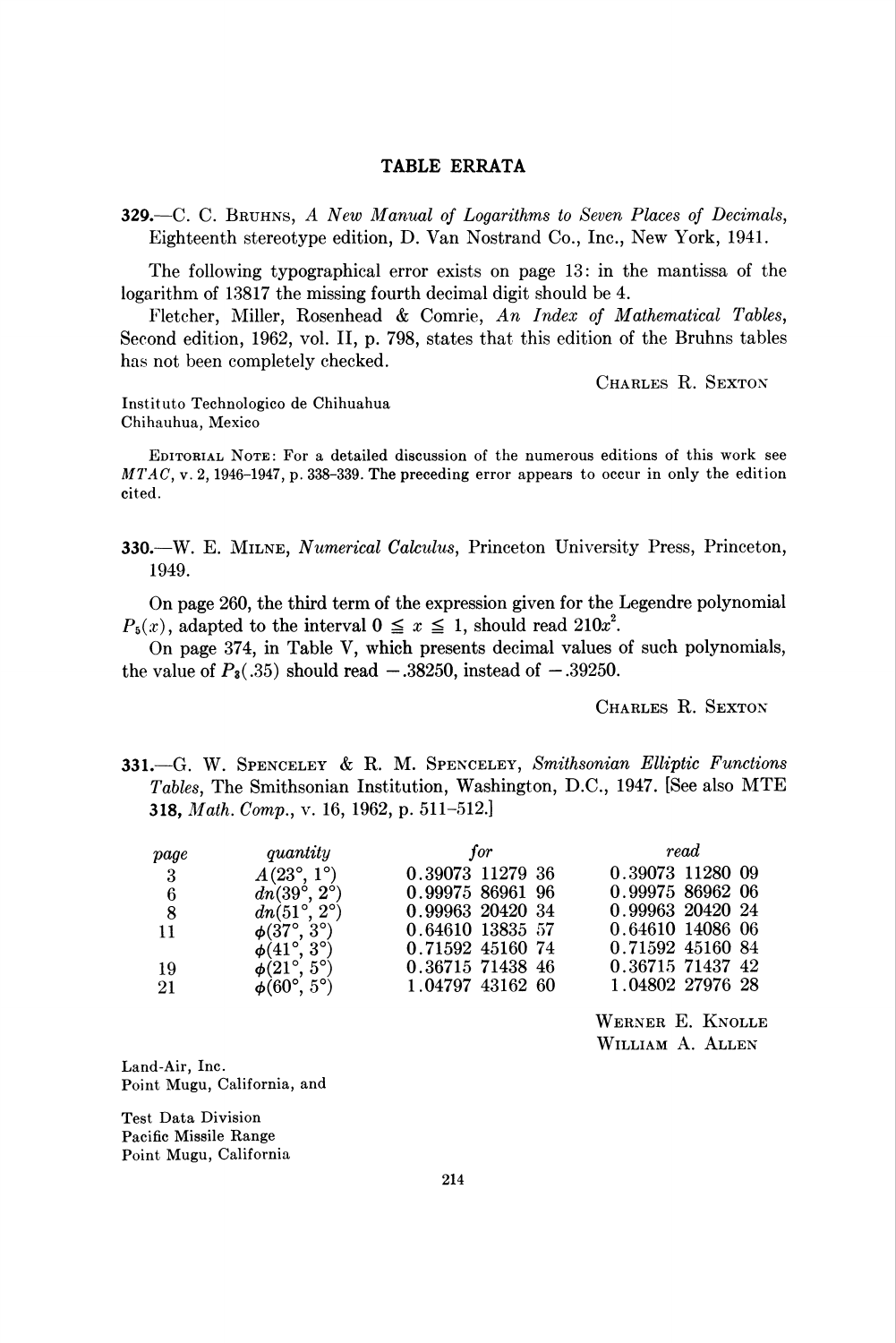## TABLE ERRATA

329.—C. C. BRUHNS, A New Manual of Logarithms to Seven Places of Decimals, Eighteenth stereotype edition, D. Van Nostrand Co., Inc., New York, 1941.

The following typographical error exists on page 13: in the mantissa of the logarithm of 13817 the missing fourth decimal digit should be 4.

Fletcher, Miller, Rosenhead & Comrie, An Index of Mathematical Tables, Second edition, 1962, vol. II, p. 798, states that this edition of the Bruhns tables has not been completely checked.

Charles R. Sexton

Instituto Technologico de Chihuahua Chihauhua, Mexico

Editorial Note: For a detailed discussion of the numerous editions of this work see  $MTAC$ , v. 2, 1946-1947, p. 338-339. The preceding error appears to occur in only the edition cited.

330.—W. E. Milne, Numerical Calculus, Princeton University Press, Princeton, 1949.

On page 260, the third term of the expression given for the Legendre polynomial  $P_5(x)$ , adapted to the interval  $0 \le x \le 1$ , should read  $210x^2$ .

On page 374, in Table V, which presents decimal values of such polynomials, the value of  $P_3(.35)$  should read  $-.38250$ , instead of  $-.39250$ .

Charles R. Sexton

331.—G. W. Spenceley & R. M. Spenceley, Smithsonian Elliptic Functions Tables, The Smithsonian Institution, Washington, D.C, 1947. [See also MTE **318,** Math. Comp., v. 16, 1962, p. 511-512.

| page                    | quantity                   | for              | read             |
|-------------------------|----------------------------|------------------|------------------|
| $\overline{\mathbf{3}}$ | $A(23^{\circ}, 1^{\circ})$ | 0.39073 11279 36 | 0.39073 11280 09 |
| 6                       | $dn(39^\circ, 2^\circ)$    | 0.99975 86961 96 | 0.99975 86962 06 |
| 8                       | $dn(51^\circ, 2^\circ)$    | 0.99963 20420 34 | 0.99963 20420 24 |
| 11                      | $\phi(37^\circ, 3^\circ)$  | 0.64610 13835 57 | 0.64610 14086 06 |
|                         | $\phi(41^\circ, 3^\circ)$  | 0.71592 45160 74 | 0.71592 45160 84 |
| 19                      | $\phi(21^\circ, 5^\circ)$  | 0.36715 71438 46 | 0.36715 71437 42 |
| -21                     | $\phi(60^\circ, 5^\circ)$  | 1.04797 43162 60 | 1.04802 27976 28 |

Werner E. Knolle William A. Allen

Land-Air, Inc. Point Mugu, California, and

Test Data Division Pacific Missile Range Point Mugu, California